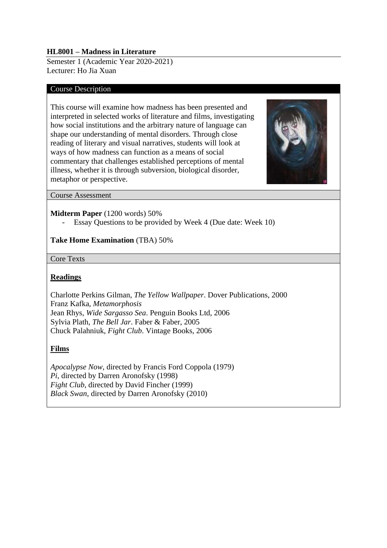#### **HL8001 – Madness in Literature**

Semester 1 (Academic Year 2020-2021) Lecturer: Ho Jia Xuan

#### Course Description

This course will examine how madness has been presented and interpreted in selected works of literature and films, investigating how social institutions and the arbitrary nature of language can shape our understanding of mental disorders. Through close reading of literary and visual narratives, students will look at ways of how madness can function as a means of social commentary that challenges established perceptions of mental illness, whether it is through subversion, biological disorder, metaphor or perspective.



Course Assessment

#### **Midterm Paper** (1200 words) 50%

Essay Questions to be provided by Week 4 (Due date: Week 10)

# **Take Home Examination** (TBA) 50%

Core Texts

# **Readings**

Charlotte Perkins Gilman, *The Yellow Wallpaper*. Dover Publications, 2000 Franz Kafka, *Metamorphosis* Jean Rhys, *Wide Sargasso Sea*. Penguin Books Ltd, 2006 Sylvia Plath, *The Bell Jar*. Faber & Faber, 2005 Chuck Palahniuk, *Fight Club*. Vintage Books, 2006

# **Films**

*Apocalypse Now*, directed by Francis Ford Coppola (1979) *Pi*, directed by Darren Aronofsky (1998) *Fight Club*, directed by David Fincher (1999) *Black Swan*, directed by Darren Aronofsky (2010)